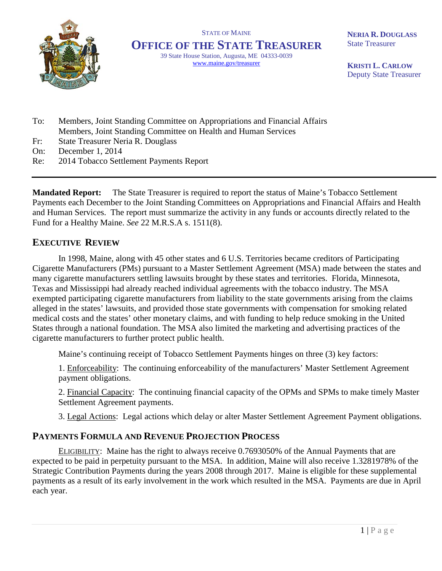

STATE OF MAINE **OFFICE OF THE STATE TREASURER** 39 State House Station, Augusta, ME 04333-0039 www.maine.gov/treasurer

**NERIA R. DOUGLASS** State Treasurer

**KRISTI L. CARLOW** Deputy State Treasurer

- To: Members, Joint Standing Committee on Appropriations and Financial Affairs Members, Joint Standing Committee on Health and Human Services
- Fr: State Treasurer Neria R. Douglass
- On: December 1, 2014
- Re: 2014 Tobacco Settlement Payments Report

**Mandated Report:** The State Treasurer is required to report the status of Maine's Tobacco Settlement Payments each December to the Joint Standing Committees on Appropriations and Financial Affairs and Health and Human Services. The report must summarize the activity in any funds or accounts directly related to the Fund for a Healthy Maine. *See* 22 M.R.S.A s. 1511(8).

## **EXECUTIVE REVIEW**

In 1998, Maine, along with 45 other states and 6 U.S. Territories became creditors of Participating Cigarette Manufacturers (PMs) pursuant to a Master Settlement Agreement (MSA) made between the states and many cigarette manufacturers settling lawsuits brought by these states and territories. Florida, Minnesota, Texas and Mississippi had already reached individual agreements with the tobacco industry. The MSA exempted participating cigarette manufacturers from liability to the state governments arising from the claims alleged in the states' lawsuits, and provided those state governments with compensation for smoking related medical costs and the states' other monetary claims, and with funding to help reduce smoking in the United States through a national foundation. The MSA also limited the marketing and advertising practices of the cigarette manufacturers to further protect public health.

Maine's continuing receipt of Tobacco Settlement Payments hinges on three (3) key factors:

1. Enforceability: The continuing enforceability of the manufacturers' Master Settlement Agreement payment obligations.

2. Financial Capacity: The continuing financial capacity of the OPMs and SPMs to make timely Master Settlement Agreement payments.

3. Legal Actions: Legal actions which delay or alter Master Settlement Agreement Payment obligations.

## **PAYMENTS FORMULA AND REVENUE PROJECTION PROCESS**

ELIGIBILITY: Maine has the right to always receive 0.7693050% of the Annual Payments that are expected to be paid in perpetuity pursuant to the MSA. In addition, Maine will also receive 1.3281978% of the Strategic Contribution Payments during the years 2008 through 2017. Maine is eligible for these supplemental payments as a result of its early involvement in the work which resulted in the MSA. Payments are due in April each year.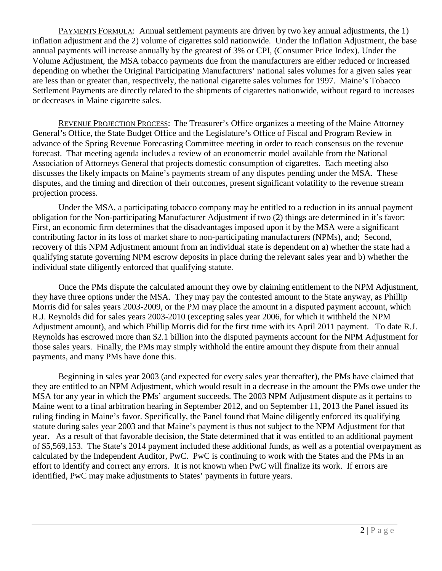PAYMENTS FORMULA: Annual settlement payments are driven by two key annual adjustments, the 1) inflation adjustment and the 2) volume of cigarettes sold nationwide. Under the Inflation Adjustment, the base annual payments will increase annually by the greatest of 3% or CPI, (Consumer Price Index). Under the Volume Adjustment, the MSA tobacco payments due from the manufacturers are either reduced or increased depending on whether the Original Participating Manufacturers' national sales volumes for a given sales year are less than or greater than, respectively, the national cigarette sales volumes for 1997. Maine's Tobacco Settlement Payments are directly related to the shipments of cigarettes nationwide, without regard to increases or decreases in Maine cigarette sales.

REVENUE PROJECTION PROCESS: The Treasurer's Office organizes a meeting of the Maine Attorney General's Office, the State Budget Office and the Legislature's Office of Fiscal and Program Review in advance of the Spring Revenue Forecasting Committee meeting in order to reach consensus on the revenue forecast. That meeting agenda includes a review of an econometric model available from the National Association of Attorneys General that projects domestic consumption of cigarettes. Each meeting also discusses the likely impacts on Maine's payments stream of any disputes pending under the MSA. These disputes, and the timing and direction of their outcomes, present significant volatility to the revenue stream projection process.

Under the MSA, a participating tobacco company may be entitled to a reduction in its annual payment obligation for the Non-participating Manufacturer Adjustment if two (2) things are determined in it's favor: First, an economic firm determines that the disadvantages imposed upon it by the MSA were a significant contributing factor in its loss of market share to non-participating manufacturers (NPMs), and; Second, recovery of this NPM Adjustment amount from an individual state is dependent on a) whether the state had a qualifying statute governing NPM escrow deposits in place during the relevant sales year and b) whether the individual state diligently enforced that qualifying statute.

Once the PMs dispute the calculated amount they owe by claiming entitlement to the NPM Adjustment, they have three options under the MSA. They may pay the contested amount to the State anyway, as Phillip Morris did for sales years 2003-2009, or the PM may place the amount in a disputed payment account, which R.J. Reynolds did for sales years 2003-2010 (excepting sales year 2006, for which it withheld the NPM Adjustment amount), and which Phillip Morris did for the first time with its April 2011 payment. To date R.J. Reynolds has escrowed more than \$2.1 billion into the disputed payments account for the NPM Adjustment for those sales years. Finally, the PMs may simply withhold the entire amount they dispute from their annual payments, and many PMs have done this.

Beginning in sales year 2003 (and expected for every sales year thereafter), the PMs have claimed that they are entitled to an NPM Adjustment, which would result in a decrease in the amount the PMs owe under the MSA for any year in which the PMs' argument succeeds. The 2003 NPM Adjustment dispute as it pertains to Maine went to a final arbitration hearing in September 2012, and on September 11, 2013 the Panel issued its ruling finding in Maine's favor. Specifically, the Panel found that Maine diligently enforced its qualifying statute during sales year 2003 and that Maine's payment is thus not subject to the NPM Adjustment for that year. As a result of that favorable decision, the State determined that it was entitled to an additional payment of \$5,569,153. The State's 2014 payment included these additional funds, as well as a potential overpayment as calculated by the Independent Auditor, PwC. PwC is continuing to work with the States and the PMs in an effort to identify and correct any errors. It is not known when PwC will finalize its work. If errors are identified, PwC may make adjustments to States' payments in future years.